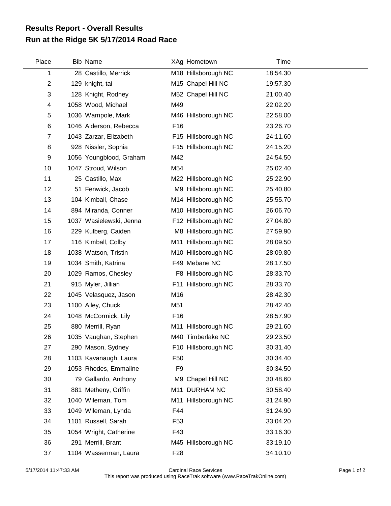## **Run at the Ridge 5K 5/17/2014 Road Race Results Report - Overall Results**

| Place          | <b>Bib Name</b>         |                 | XAg Hometown        | Time     |  |
|----------------|-------------------------|-----------------|---------------------|----------|--|
| 1              | 28 Castillo, Merrick    |                 | M18 Hillsborough NC | 18:54.30 |  |
| $\overline{2}$ | 129 knight, tai         |                 | M15 Chapel Hill NC  | 19:57.30 |  |
| 3              | 128 Knight, Rodney      |                 | M52 Chapel Hill NC  | 21:00.40 |  |
| 4              | 1058 Wood, Michael      | M49             |                     | 22:02.20 |  |
| 5              | 1036 Wampole, Mark      |                 | M46 Hillsborough NC | 22:58.00 |  |
| 6              | 1046 Alderson, Rebecca  | F <sub>16</sub> |                     | 23:26.70 |  |
| $\overline{7}$ | 1043 Zarzar, Elizabeth  |                 | F15 Hillsborough NC | 24:11.60 |  |
| 8              | 928 Nissler, Sophia     |                 | F15 Hillsborough NC | 24:15.20 |  |
| 9              | 1056 Youngblood, Graham | M42             |                     | 24:54.50 |  |
| 10             | 1047 Stroud, Wilson     | M54             |                     | 25:02.40 |  |
| 11             | 25 Castillo, Max        |                 | M22 Hillsborough NC | 25:22.90 |  |
| 12             | 51 Fenwick, Jacob       |                 | M9 Hillsborough NC  | 25:40.80 |  |
| 13             | 104 Kimball, Chase      |                 | M14 Hillsborough NC | 25:55.70 |  |
| 14             | 894 Miranda, Conner     |                 | M10 Hillsborough NC | 26:06.70 |  |
| 15             | 1037 Wasielewski, Jenna |                 | F12 Hillsborough NC | 27:04.80 |  |
| 16             | 229 Kulberg, Caiden     |                 | M8 Hillsborough NC  | 27:59.90 |  |
| 17             | 116 Kimball, Colby      |                 | M11 Hillsborough NC | 28:09.50 |  |
| 18             | 1038 Watson, Tristin    |                 | M10 Hillsborough NC | 28:09.80 |  |
| 19             | 1034 Smith, Katrina     |                 | F49 Mebane NC       | 28:17.50 |  |
| 20             | 1029 Ramos, Chesley     |                 | F8 Hillsborough NC  | 28:33.70 |  |
| 21             | 915 Myler, Jillian      |                 | F11 Hillsborough NC | 28:33.70 |  |
| 22             | 1045 Velasquez, Jason   | M16             |                     | 28:42.30 |  |
| 23             | 1100 Alley, Chuck       | M51             |                     | 28:42.40 |  |
| 24             | 1048 McCormick, Lily    | F16             |                     | 28:57.90 |  |
| 25             | 880 Merrill, Ryan       |                 | M11 Hillsborough NC | 29:21.60 |  |
| 26             | 1035 Vaughan, Stephen   |                 | M40 Timberlake NC   | 29:23.50 |  |
| 27             | 290 Mason, Sydney       |                 | F10 Hillsborough NC | 30:31.40 |  |
| 28             | 1103 Kavanaugh, Laura   | F <sub>50</sub> |                     | 30:34.40 |  |
| 29             | 1053 Rhodes, Emmaline   | F <sub>9</sub>  |                     | 30:34.50 |  |
| 30             | 79 Gallardo, Anthony    |                 | M9 Chapel Hill NC   | 30:48.60 |  |
| 31             | 881 Metheny, Griffin    |                 | M11 DURHAM NC       | 30:58.40 |  |
| 32             | 1040 Wileman, Tom       |                 | M11 Hillsborough NC | 31:24.90 |  |
| 33             | 1049 Wileman, Lynda     | F44             |                     | 31:24.90 |  |
| 34             | 1101 Russell, Sarah     | F <sub>53</sub> |                     | 33:04.20 |  |
| 35             | 1054 Wright, Catherine  | F43             |                     | 33:16.30 |  |
| 36             | 291 Merrill, Brant      |                 | M45 Hillsborough NC | 33:19.10 |  |
| 37             | 1104 Wasserman, Laura   | F <sub>28</sub> |                     | 34:10.10 |  |